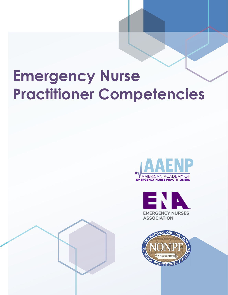# **Emergency Nurse Practitioner Competencies**







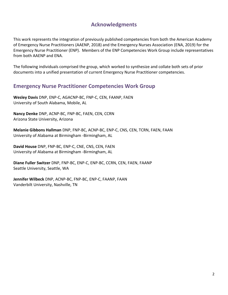### **Acknowledgments**

This work represents the integration of previously published competencies from both the American Academy of Emergency Nurse Practitioners (AAENP, 2018) and the Emergency Nurses Association (ENA, 2019) for the Emergency Nurse Practitioner (ENP). Members of the ENP Competencies Work Group include representatives from both AAENP and ENA.

The following individuals comprised the group, which worked to synthesize and collate both sets of prior documents into a unified presentation of current Emergency Nurse Practitioner competencies.

### **Emergency Nurse Practitioner Competencies Work Group**

**Wesley Davis** DNP, ENP-C, AGACNP-BC, FNP-C, CEN, FAANP, FAEN University of South Alabama, Mobile, AL

**Nancy Denke** DNP, ACNP-BC, FNP-BC, FAEN, CEN, CCRN Arizona State University, Arizona

**Melanie Gibbons Hallman** DNP, FNP-BC, ACNP-BC, ENP-C, CNS, CEN, TCRN, FAEN, FAAN University of Alabama at Birmingham -Birmingham, AL

**David House** DNP, FNP-BC, ENP-C, CNE, CNS, CEN, FAEN University of Alabama at Birmingham -Birmingham, AL

**Diane Fuller Switzer** DNP, FNP-BC, ENP-C, ENP-BC, CCRN, CEN, FAEN, FAANP Seattle University, Seattle, WA

**Jennifer Wilbeck** DNP, ACNP-BC, FNP-BC, ENP-C, FAANP, FAAN Vanderbilt University, Nashville, TN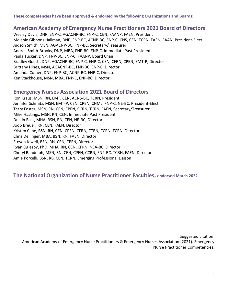**These competencies have been approved & endorsed by the following Organizations and Boards:**

### **American Academy of Emergency Nurse Practitioners 2021 Board of Directors**

Wesley Davis, DNP, ENP-C, AGACNP-BC, FNP-C, CEN, FAANP, FAEN, President Melanie Gibbons Hallman, DNP, FNP-BC, ACNP-BC, ENP-C, CNS, CEN, TCRN, FAEN, FAAN, President-Elect Judson Smith, MSN, AGACNP-BC, FNP-BC, Secretary/Treasurer Andrea Smith-Brooks, DNP, MBA, FNP-BC, ENP-C, Immediate Past President Paula Tucker, DNP, FNP-BC, ENP-C, FAANP, Board Chair Bradley Goettl, DNP, AGACNP-BC, FNP-C, ENP-C, CEN, CFRN, CPEN, EMT-P, Director Brittany Hines, MSN, AGACNP-BC, FNP-BC, ENP-C, Director Amanda Comer, DNP, FNP-BC, ACNP-BC, ENP-C, Director Ken Stackhouse, MSN, MBA, FNP-C, ENP-BC, Director

### **Emergency Nurses Association 2021 Board of Directors**

Ron Kraus, MSN, RN, EMT, CEN, ACNS-BC, TCRN, President Jennifer Schmitz, MSN, EMT-P, CEN, CPEN, CNML, FNP-C, NE-BC, President-Elect Terry Foster, MSN, RN, CEN, CPEN, CCRN, TCRN, FAEN, Secretary/Treasurer Mike Hastings, MSN, RN, CEN, Immediate Past President Dustin Bass, MHA, BSN, RN, CEN, NE-BC, Director Joop Breuer, RN, CEN, FAEN, Director Kristen Cline, BSN, RN, CEN, CPEN, CFRN, CTRN, CCRN, TCRN, Director Chris Dellinger, MBA, BSN, RN, FAEN, Director Steven Jewell, BSN, RN, CEN, CPEN, Director Ryan Oglesby, PhD, MHA, RN, CEN, CFRN, NEA-BC, Director Cheryl Randolph, MSN, RN, CEN, CPEN, CCRN, FNP-BC, TCRN, FAEN, Director Amie Porcelli, BSN, RB, CEN, TCRN, Emerging Professional Liaison

### **The National Organization of Nurse Practitioner Faculties, endorsed March 2022**

Suggested citation: American Academy of Emergency Nurse Practitioners & Emergency Nurses Association (2021). Emergency Nurse Practitioner Competencies.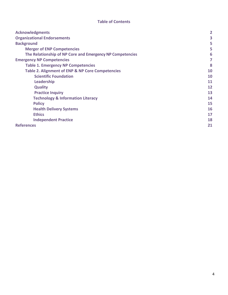### **Table of Contents**

| <b>Acknowledgments</b>                                      | $\overline{2}$ |
|-------------------------------------------------------------|----------------|
| <b>Organizational Endorsements</b>                          | 3              |
| <b>Background</b>                                           | 5              |
| <b>Merger of ENP Competencies</b>                           | 5              |
| The Relationship of NP Core and Emergency NP Competencies   | 6              |
| <b>Emergency NP Competencies</b>                            | 7              |
| <b>Table 1. Emergency NP Competencies</b>                   | 8              |
| <b>Table 2. Alignment of ENP &amp; NP Core Competencies</b> | 10             |
| <b>Scientific Foundation</b>                                | 10             |
| Leadership                                                  | 11             |
| <b>Quality</b>                                              | 12             |
| <b>Practice Inquiry</b>                                     | 13             |
| <b>Technology &amp; Information Literacy</b>                | 14             |
| <b>Policy</b>                                               | 15             |
| <b>Health Delivery Systems</b>                              | 16             |
| <b>Ethics</b>                                               | 17             |
| <b>Independent Practice</b>                                 | 18             |
| <b>References</b>                                           | 21             |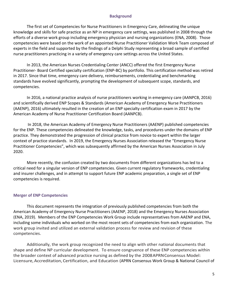#### **Background**

The first set of Competencies for Nurse Practitioners in Emergency Care, delineating the unique knowledge and skills for safe practice as an NP in emergency care settings, was published in 2008 through the efforts of a diverse work group including emergency physician and nursing organizations (ENA, 2008). Those competencies were based on the work of an appointed Nurse Practitioner Validation Work Team composed of experts in the field and supported by the findings of a Delphi Study representing a broad sample of certified nurse practitioners practicing in a variety of emergency care settings across the United States.

In 2013, the American Nurses Credentialing Center (ANCC) offered the first Emergency Nurse Practitioner- Board Certified specialty certification (ENP-BC) by portfolio. This certification method was retired in 2017. Since that time, emergency care delivery, reimbursements, credentialing and benchmarking standards have evolved significantly, prompting the development of subsequent scope, standards, and competencies.

In 2016, a national practice analysis of nurse practitioners working in emergency care (AANPCB, 2016) and scientifically derived ENP Scopes & Standards (American Academy of Emergency Nurse Practitioners (AAENP), 2016) ultimately resulted in the creation of an ENP specialty certification exam in 2017 by the American Academy of Nurse Practitioner Certification Board (AANPCB).

In 2018, the American Academy of Emergency Nurse Practitioners (AAENP) published competencies for the ENP. These competencies delineated the knowledge, tasks, and procedures under the domains of ENP practice. They demonstrated the progression of clinical practice from novice to expert within the larger context of practice standards. In 2019, the Emergency Nurses Association released the "Emergency Nurse Practitioner Competencies", which was subsequently affirmed by the American Nurses Association in July 2020.

More recently, the confusion created by two documents from different organizations has led to a critical need for a singular version of ENP competencies. Given current regulatory frameworks, credentialing and insurer challenges, and in attempt to support future ENP academic preparation, a single set of ENP competencies is required.

#### **Merger of ENP Competencies**

This document represents the integration of previously published competencies from both the American Academy of Emergency Nurse Practitioners (AAENP, 2018) and the Emergency Nurses Association (ENA, 2019). Members of the ENP Competencies Work Group include representatives from AAENP and ENA, including some individuals who worked on the most recent sets of competencies from each organization. The work group invited and utilized an external validation process for review and revision of these competencies.

Additionally, the work group recognized the need to align with other national documents that shape and define NP curricular development. To ensure congruence of these ENP competencies within the broader context of advanced practice nursing as defined by the 2008APRNConsensus Model: Licensure, Accreditation, Certification, and Education (APRN Consensus Work Group & National Council of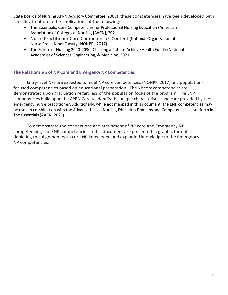State Boards of Nursing APRN Advisory Committee, 2008), these competencies have been developed with specific attention to the implications of the following:

- The Essentials: Core Competencies for Professional Nursing Education (American Association of Colleges of Nursing [AACN], 2021)
- Nurse Practitioner Core Competencies Content (National Organization of Nurse Practitioner Faculty [NONPF], 2017)
- The Future of Nursing 2020-2030: Charting a Path to Achieve Health Equity (National Academies of Sciences, Engineering, & Medicine, 2021).

#### **The Relationship of NP Core and Emergency NP Competencies**

Entry-level NPs are expected to meet NP core competencies (NONPF, 2017) and populationfocused competencies based on educational preparation. TheNPcorecompetenciesare demonstrated upon graduation regardless of the population focus of the program. The ENP competencies build upon the APRN Core to identify the unique characteristics and care provided by the emergency nurse practitioner. Additionally, while not mapped in this document, the ENP competencies may be used in combination with the Advanced-Level Nursing Education Domains and Competencies as set forth in The Essentials (AACN, 2021).

To demonstrate the connections and attainment of NP core and Emergency NP competencies, the ENP competencies in this document are presented in graphic format depicting the alignment with core NP knowledge and expanded knowledge to the Emergency NP competencies.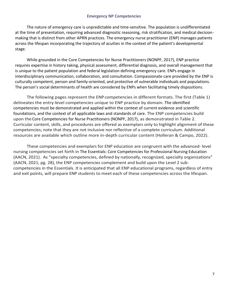#### **Emergency NP Competencies**

The nature of emergency care is unpredictable and time-sensitive. The population is undifferentiated at the time of presentation, requiring advanced diagnostic reasoning, risk stratification, and medical decisionmaking that is distinct from other APRN practices. The emergency nurse practitioner (ENP) manages patients across the lifespan incorporating the trajectory of acuities in the context of the patient's developmental stage.

While grounded in the Core Competencies for Nurse Practitioners (NONPF, 2017), ENP practice requires expertise in history taking, physical assessment, differential diagnosis, and overall management that is unique to the patient population and federal legislation defining emergency care. ENPs engage in interdisciplinary communication, collaboration, and consultation. Compassionate care provided by the ENP is culturally competent, person and family-oriented, and protective of vulnerable individuals and populations. The person's social determinants of health are considered by ENPs when facilitating timely dispositions.

The following pages represent the ENPcompetencies in different formats. The first (Table 1) delineates the entry-level competencies unique to ENP practice by domain. The identified competencies must be demonstrated and applied within the context of current evidence and scientific foundations, and the context of all applicable laws and standards of care. The ENP competencies build upon the Core Competencies for Nurse Practitioners (NONPF, 2017), as demonstrated in Table 2. Curricular content, skills, and procedures are offered as exemplars only to highlight alignment of these competencies; note that they are not inclusive nor reflective of a complete curriculum. Additional resources are available which outline more in-depth curricular content (Holleran & Campo, 2022).

These competencies and exemplars for ENP education are congruent with the advanced- level nursing competencies set forth in The Essentials: Core Competencies for Professional Nursing Education (AACN, 2021). As "specialty competencies, defined by nationally, recognized, specialty organizations" (AACN, 2021, pg. 28), the ENP competencies complement and build upon the Level 2 subcompetencies in the Essentials. It is anticipated that all ENP educational programs, regardless of entry and exit points, will prepare ENP students to meet each of these competencies across the lifespan.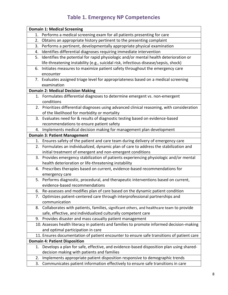### **Table 1. Emergency NP Competencies**

| <b>Domain 1: Medical Screening</b> |                                                                                             |  |  |  |
|------------------------------------|---------------------------------------------------------------------------------------------|--|--|--|
|                                    | 1. Performs a medical screening exam for all patients presenting for care                   |  |  |  |
| 2.                                 | Obtains an appropriate history pertinent to the presenting complaint                        |  |  |  |
| 3.                                 | Performs a pertinent, developmentally appropriate physical examination                      |  |  |  |
| 4.                                 | Identifies differential diagnoses requiring immediate intervention                          |  |  |  |
|                                    | 5. Identifies the potential for rapid physiologic and/or mental health deterioration or     |  |  |  |
|                                    | life-threatening instability (e.g., suicidal risk, infectious disease/sepsis, shock)        |  |  |  |
| 6.                                 | Initiates measures to maximize patient safety throughout the emergency care                 |  |  |  |
|                                    | encounter                                                                                   |  |  |  |
|                                    | 7. Evaluates assigned triage level for appropriateness based on a medical screening         |  |  |  |
|                                    | examination                                                                                 |  |  |  |
|                                    | <b>Domain 2: Medical Decision Making</b>                                                    |  |  |  |
|                                    | 1. Formulates differential diagnoses to determine emergent vs. non-emergent                 |  |  |  |
|                                    | conditions                                                                                  |  |  |  |
|                                    | 2. Prioritizes differential diagnoses using advanced clinical reasoning, with consideration |  |  |  |
|                                    | of the likelihood for morbidity or mortality                                                |  |  |  |
| 3.                                 | Evaluates need for & results of diagnostic testing based on evidence-based                  |  |  |  |
|                                    | recommendations to ensure patient safety                                                    |  |  |  |
|                                    | 4. Implements medical decision making for management plan development                       |  |  |  |
|                                    | <b>Domain 3: Patient Management</b>                                                         |  |  |  |
|                                    | 1. Ensures safety of the patient and care team during delivery of emergency care            |  |  |  |
|                                    | 2. Formulates an individualized, dynamic plan of care to address the stabilization and      |  |  |  |
|                                    | initial treatment of emergent and non-emergent conditions                                   |  |  |  |
| 3.                                 | Provides emergency stabilization of patients experiencing physiologic and/or mental         |  |  |  |
|                                    | health deterioration or life-threatening instability                                        |  |  |  |
|                                    | 4. Prescribes therapies based on current, evidence-based recommendations for                |  |  |  |
|                                    | emergency care                                                                              |  |  |  |
|                                    | 5. Performs diagnostic, procedural, and therapeutic interventions based on current,         |  |  |  |
|                                    | evidence-based recommendations                                                              |  |  |  |
|                                    | 6. Re-assesses and modifies plan of care based on the dynamic patient condition             |  |  |  |
|                                    | 7. Optimizes patient-centered care through interprofessional partnerships and               |  |  |  |
|                                    | communication                                                                               |  |  |  |
|                                    | 8. Collaborates with patients, families, significant others, and healthcare team to provide |  |  |  |
|                                    | safe, effective, and individualized culturally competent care                               |  |  |  |
|                                    | 9. Provides disaster and mass casualty patient management                                   |  |  |  |
|                                    | 10. Assesses health literacy in patients and families to promote informed decision-making   |  |  |  |
|                                    | and optimal participation in care                                                           |  |  |  |
|                                    | 11. Ensures documentation of patient encounter to ensure safe transitions of patient care   |  |  |  |
|                                    | <b>Domain 4: Patient Disposition</b>                                                        |  |  |  |
|                                    | 1. Develops a plan for safe, effective, and evidence-based disposition plan using shared-   |  |  |  |
|                                    | decision making with patients and families                                                  |  |  |  |
| 2.                                 | Implements appropriate patient disposition responsive to demographic trends                 |  |  |  |
| 3.                                 | Communicates patient information effectively to ensure safe transitions in care             |  |  |  |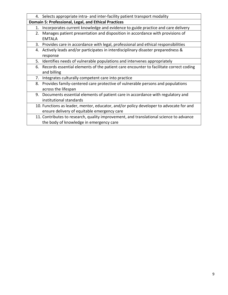| 4. | Selects appropriate intra- and inter-facility patient transport modality                 |
|----|------------------------------------------------------------------------------------------|
|    | Domain 5: Professional, Legal, and Ethical Practices                                     |
| 1. | Incorporates current knowledge and evidence to guide practice and care delivery          |
| 2. | Manages patient presentation and disposition in accordance with provisions of            |
|    | <b>EMTALA</b>                                                                            |
| 3. | Provides care in accordance with legal, professional and ethical responsibilities        |
| 4. | Actively leads and/or participates in interdisciplinary disaster preparedness &          |
|    | response                                                                                 |
| 5. | Identifies needs of vulnerable populations and intervenes appropriately                  |
|    | 6. Records essential elements of the patient care encounter to facilitate correct coding |
|    | and billing                                                                              |
| 7. | Integrates culturally competent care into practice                                       |
| 8. | Provides family-centered care protective of vulnerable persons and populations           |
|    | across the lifespan                                                                      |
|    | 9. Documents essential elements of patient care in accordance with regulatory and        |
|    | institutional standards                                                                  |
|    | 10. Functions as leader, mentor, educator, and/or policy developer to advocate for and   |
|    | ensure delivery of equitable emergency care                                              |
|    | 11. Contributes to research, quality improvement, and translational science to advance   |
|    | the body of knowledge in emergency care                                                  |
|    |                                                                                          |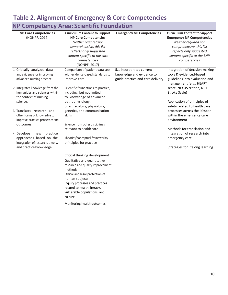## **Table 2. Alignment of Emergency & Core Competencies NP Competency Area: Scientific Foundation**

| <b>NP Core Competencies</b><br>(NONPF, 2017)                                                                                                                                                                                                                                                                                                                                                                                                | <b>Curriculum Content to Support</b><br><b>NP Core Competencies</b><br>Neither required nor<br>comprehensive, this list<br>reflects only suggested<br>content specific to the core<br>competencies<br>(NONPF, 2017)                                                                                                                                                                                                                                                                                                                                                                                                                               | <b>Emergency NP Competencies</b>                                                          | <b>Curriculum Content to Support</b><br><b>Emergency NP Competencies</b><br>Neither required nor<br>comprehensive, this list<br>reflects only suggested<br>content specific to the ENP<br>competencies                                                                                                                                                                                                                                   |
|---------------------------------------------------------------------------------------------------------------------------------------------------------------------------------------------------------------------------------------------------------------------------------------------------------------------------------------------------------------------------------------------------------------------------------------------|---------------------------------------------------------------------------------------------------------------------------------------------------------------------------------------------------------------------------------------------------------------------------------------------------------------------------------------------------------------------------------------------------------------------------------------------------------------------------------------------------------------------------------------------------------------------------------------------------------------------------------------------------|-------------------------------------------------------------------------------------------|------------------------------------------------------------------------------------------------------------------------------------------------------------------------------------------------------------------------------------------------------------------------------------------------------------------------------------------------------------------------------------------------------------------------------------------|
| 1. Critically analyzes data<br>and evidence for improving<br>advanced nursing practice.<br>2. Integrates knowledge from the<br>humanities and sciences within<br>the context of nursing<br>science.<br>3. Translates research and<br>other forms of knowledge to<br>improve practice processes and<br>outcomes.<br>4. Develops<br>practice<br>new<br>approaches based on the<br>integration of research, theory,<br>and practice knowledge. | Comparison of patient data sets<br>with evidence-based standards to<br>improve care<br>Scientific foundations to practice,<br>including, but not limited<br>to, knowledge of advanced<br>pathophysiology,<br>pharmacology, physiology,<br>genetics, and communication<br>skills<br>Science from other disciplines<br>relevant to health care<br>Theories/conceptual frameworks/<br>principles for practice<br>Critical thinking development<br>Qualitative and quantitative<br>research and quality improvement<br>methods<br>Ethical and legal protection of<br>human subjects<br>Inquiry processes and practices<br>related to health literacy, | 5.1 Incorporates current<br>knowledge and evidence to<br>guide practice and care delivery | Integration of decision-making<br>tools & evidenced-based<br>guidelines into evaluation and<br>management (e.g., HEART<br>score, NEXUS criteria, NIH<br>Stroke Scale)<br>Application of principles of<br>safety related to health care<br>processes across the lifespan<br>within the emergency care<br>environment<br>Methods for translation and<br>integration of research into<br>emergency care<br>Strategies for lifelong learning |
|                                                                                                                                                                                                                                                                                                                                                                                                                                             | vulnerable populations, and<br>culture                                                                                                                                                                                                                                                                                                                                                                                                                                                                                                                                                                                                            |                                                                                           |                                                                                                                                                                                                                                                                                                                                                                                                                                          |

Monitoring health outcomes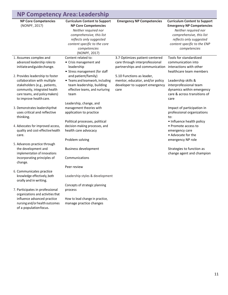| <b>NP Competency Area: Leadership</b>                                                                                                                                                         |                                                                                                                                                                                                                     |                                                                                                        |                                                                                                                                                                                                        |
|-----------------------------------------------------------------------------------------------------------------------------------------------------------------------------------------------|---------------------------------------------------------------------------------------------------------------------------------------------------------------------------------------------------------------------|--------------------------------------------------------------------------------------------------------|--------------------------------------------------------------------------------------------------------------------------------------------------------------------------------------------------------|
| <b>NP Core Competencies</b><br>(NONPF, 2017)                                                                                                                                                  | <b>Curriculum Content to Support</b><br><b>NP Core Competencies</b><br>Neither required nor<br>comprehensive, this list<br>reflects only suggested<br>content specific to the core<br>competencies<br>(NONPF, 2017) | <b>Emergency NP Competencies</b>                                                                       | <b>Curriculum Content to Support</b><br><b>Emergency NP Competencies</b><br>Neither required nor<br>comprehensive, this list<br>reflects only suggested<br>content specific to the ENP<br>competencies |
| 1. Assumes complex and<br>advanced leadership roles to<br>initiate and guide change.                                                                                                          | Content related to:<br>• Crisis management and<br>leadership<br>• Stress management (for staff                                                                                                                      | 3.7 Optimizes patient-centered<br>care through interprofessional<br>partnerships and communication     | Tools for standardized<br>communication into<br>interactions with other<br>healthcare team members                                                                                                     |
| 2. Provides leadership to foster<br>collaboration with multiple<br>stakeholders (e.g., patients,<br>community, integrated health<br>care teams, and policy makers)<br>to improve health care. | and patient/family)<br>• Teams and teamwork, including<br>team leadership, building<br>effective teams, and nurturing<br>team                                                                                       | 5.10 Functions as leader,<br>mentor, educator, and/or policy<br>developer to support emergency<br>care | Leadership skills &<br>interprofessional team<br>dynamics within emergency<br>care & across transitions of<br>care                                                                                     |
| 3. Demonstrates leadershipthat<br>uses critical and reflective<br>thinking.                                                                                                                   | Leadership, change, and<br>management theories with<br>application to practice                                                                                                                                      |                                                                                                        | Impact of participation in<br>professional organizations<br>to:                                                                                                                                        |
| 4. Advocates for improved access,<br>quality and cost-effective health<br>care.                                                                                                               | Political processes, political<br>decision-making processes, and<br>health care advocacy<br>Problem solving                                                                                                         |                                                                                                        | • Influence health policy<br>• Promote access to<br>emergency care<br>• Advocate for the<br>emergency NP role                                                                                          |
| 5. Advances practice through<br>the development and<br>implementation of innovations<br>incorporating principles of<br>change.                                                                | <b>Business development</b><br>Communications                                                                                                                                                                       |                                                                                                        | Strategies to function as<br>change agent and champion                                                                                                                                                 |
| 6. Communicates practice<br>knowledge effectively, both<br>orally and in writing.                                                                                                             | Peer review<br>Leadership styles & development                                                                                                                                                                      |                                                                                                        |                                                                                                                                                                                                        |
| 7. Participates in professional<br>organizations and activities that<br>influence advanced practice<br>nursing and/or health outcomes<br>of a population focus.                               | Concepts of strategic planning<br>process<br>How to lead change in practice,<br>manage practice changes                                                                                                             |                                                                                                        |                                                                                                                                                                                                        |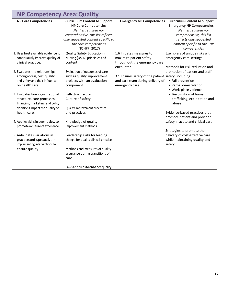| <b>NP Competency Area: Quality</b>                                                                                                   |                                                                                                                                                                                                                  |                                                                                                           |                                                                                                                                                                                                        |  |
|--------------------------------------------------------------------------------------------------------------------------------------|------------------------------------------------------------------------------------------------------------------------------------------------------------------------------------------------------------------|-----------------------------------------------------------------------------------------------------------|--------------------------------------------------------------------------------------------------------------------------------------------------------------------------------------------------------|--|
| <b>NP Core Competencies</b>                                                                                                          | <b>Curriculum Content to Support</b><br><b>NP Core Competencies</b><br>Neither required nor<br>comprehensive, this list reflects<br>only suggested content specific to<br>the core competencies<br>(NONPF, 2017) | <b>Emergency NP Competencies</b>                                                                          | <b>Curriculum Content to Support</b><br><b>Emergency NP Competencies</b><br>Neither required nor<br>comprehensive, this list<br>reflects only suggested<br>content specific to the ENP<br>competencies |  |
| 1. Uses best available evidence to<br>continuously improve quality of<br>clinical practice.                                          | Quality Safety Education in<br>Nursing (QSEN) principles and<br>content                                                                                                                                          | 1.6 Initiates measures to<br>maximize patient safety<br>throughout the emergency care<br>encounter        | Exemplars of unique risks within<br>emergency care settings<br>Methods for risk-reduction and                                                                                                          |  |
| 2. Evaluates the relationships<br>among access, cost, quality,<br>and safety and their influence<br>on health care.                  | Evaluation of outcomes of care<br>such as quality improvement<br>projects with an evaluation<br>component                                                                                                        | 3.1 Ensures safety of the patient safety, including<br>and care team during delivery of<br>emergency care | promotion of patient and staff<br>• Fall prevention<br>• Verbal de-escalation<br>· Work-place violence                                                                                                 |  |
| 3. Evaluates how organizational<br>structure, care processes,<br>financing, marketing, and policy<br>decisions impact the quality of | Reflective practice<br>Culture of safety<br>Quality improvement processes                                                                                                                                        |                                                                                                           | • Recognition of human<br>trafficking, exploitation and<br>abuse                                                                                                                                       |  |
| health care.<br>4. Applies skills in peer review to<br>promote a culture of excellence.                                              | and practices<br>Knowledge of quality<br>improvement methods                                                                                                                                                     |                                                                                                           | Evidence-based practices that<br>promote patient and provider<br>safety in acute and critical care                                                                                                     |  |
| 5. Anticipates variations in<br>practice and is proactive in<br>implementing interventions to<br>ensure quality                      | Leadership skills for leading<br>change for quality clinical practice<br>Methods and measures of quality<br>assurance during transitions of                                                                      |                                                                                                           | Strategies to promote the<br>delivery of cost-effective care<br>while maintaining quality and<br>safety                                                                                                |  |
|                                                                                                                                      | care<br>Laws and rules to enhance quality                                                                                                                                                                        |                                                                                                           |                                                                                                                                                                                                        |  |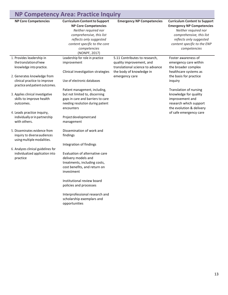| <b>NP Competency Area: Practice Inquiry</b>                                                                    |                                                                                                                                                                                                                                                                                                        |                                                                                                                                             |                                                                                                                                                                                                        |
|----------------------------------------------------------------------------------------------------------------|--------------------------------------------------------------------------------------------------------------------------------------------------------------------------------------------------------------------------------------------------------------------------------------------------------|---------------------------------------------------------------------------------------------------------------------------------------------|--------------------------------------------------------------------------------------------------------------------------------------------------------------------------------------------------------|
| <b>NP Core Competencies</b>                                                                                    | <b>Curriculum Content to Support</b><br><b>NP Core Competencies</b><br>Neither required nor<br>comprehensive, this list<br>reflects only suggested<br>content specific to the core<br>competencies<br>(NONPF, 2017)                                                                                    | <b>Emergency NP Competencies</b>                                                                                                            | <b>Curriculum Content to Support</b><br><b>Emergency NP Competencies</b><br>Neither required nor<br>comprehensive, this list<br>reflects only suggested<br>content specific to the ENP<br>competencies |
| 1. Provides leadership in<br>the translation of new<br>knowledge into practice.<br>2. Generates knowledge from | Leadership for role in practice<br>improvement<br>Clinical investigation strategies                                                                                                                                                                                                                    | 5.11 Contributes to research,<br>quality improvement, and<br>translational science to advance<br>the body of knowledge in<br>emergency care | Foster awareness of<br>emergency care within<br>the broader complex<br>healthcare systems as<br>the basis for practice                                                                                 |
| clinical practice to improve<br>practice and patient outcomes.                                                 | Use of electronic databases<br>Patient management, including,                                                                                                                                                                                                                                          |                                                                                                                                             | inquiry<br>Translation of nursing                                                                                                                                                                      |
| 3. Applies clinical investigative<br>skills to improve health<br>outcomes.                                     | but not limited to, discerning<br>gaps in care and barriers to care<br>needing resolution during patient<br>encounters                                                                                                                                                                                 |                                                                                                                                             | knowledge for quality<br>improvement and<br>research which support<br>the evolution & delivery                                                                                                         |
| 4. Leads practice inquiry,<br>individually or in partnership<br>with others.                                   | Project development and<br>management                                                                                                                                                                                                                                                                  |                                                                                                                                             | of safe emergency care                                                                                                                                                                                 |
| 5. Disseminates evidence from<br>inquiry to diverse audiences<br>using multiple modalities.                    | Dissemination of work and<br>findings                                                                                                                                                                                                                                                                  |                                                                                                                                             |                                                                                                                                                                                                        |
| 6. Analyzes clinical guidelines for<br>individualized application into<br>practice                             | Integration of findings<br>Evaluation of alternative care<br>delivery models and<br>treatments, including costs,<br>cost benefits, and return on<br>investment<br>Institutional review board<br>policies and processes<br>Interprofessional research and<br>scholarship exemplars and<br>opportunities |                                                                                                                                             |                                                                                                                                                                                                        |
|                                                                                                                |                                                                                                                                                                                                                                                                                                        |                                                                                                                                             |                                                                                                                                                                                                        |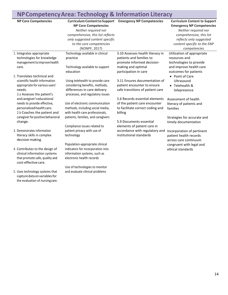### **NPCompetencyArea: Technology & Information Literacy**

the evaluation of nursingcare.

| <b>NP Core Competencies</b>                                      | <b>Curriculum Content to Support</b> | <b>Emergency NP Competencies</b> | <b>Curriculum Content to Support</b> |
|------------------------------------------------------------------|--------------------------------------|----------------------------------|--------------------------------------|
|                                                                  | <b>NP Core Competencies</b>          |                                  | <b>Emergency NP Competencies</b>     |
|                                                                  | Neither required nor                 |                                  | Neither required nor                 |
|                                                                  | comprehensive, this list reflects    |                                  | comprehensive, this list             |
|                                                                  | only suggested content specific      |                                  | reflects only suggested              |
|                                                                  | to the core competencies             |                                  | content specific to the ENP          |
|                                                                  | (NONPF, 2017)                        |                                  | competencies                         |
| 1. Integrates appropriate                                        | Technology available in clinical     | 3.10 Assesses health literacy in | Utilization of appropriate           |
| technologies for knowledge                                       | practice                             | patients and families to         | resources and                        |
| management to improve health                                     |                                      | promote informed decision-       | technologies to provide              |
| care.                                                            | Technology available to support      | making and optimal               | and improve health care              |
|                                                                  | education                            | participation in care            | outcomes for patients                |
| 2. Translates technical and                                      |                                      |                                  | • Point of Care                      |
| scientific health information                                    | Using telehealth to provide care     | 3.11 Ensures documentation of    | Ultrasound                           |
| appropriate for various users'                                   | considering benefits, methods,       | patient encounter to ensure      | • Telehealth &                       |
| needs.                                                           | differences in care delivery         | safe transitions of patient care | telepresence                         |
| 2.a Assesses the patient's                                       | processes, and regulatory issues     |                                  |                                      |
| and caregiver's educational                                      |                                      | 5.6 Records essential elements   | Assessment of health                 |
| needs to provide effective,                                      | Use of electronic communication      | of the patient care encounter    | literacy of patients and             |
| personalized health care.                                        | methods, including social media,     | to facilitate correct coding and | families                             |
| 2.b Coaches the patient and                                      | with health care professionals,      | billing                          |                                      |
| caregiver for positive behavioral                                | patients, families, and caregivers   |                                  | Strategies for accurate and          |
| change.                                                          |                                      | 5.9 Documents essential          | timely documentation                 |
|                                                                  | Compliance issues related to         | elements of patient care in      |                                      |
| 3. Demonstrates information                                      | patient privacy with use of          | accordance with regulatory and   | Incorporation of pertinent           |
| literacy skills in complex                                       | technology                           | institutional standards          | patient health records               |
| decision making.                                                 |                                      |                                  | across care continuum                |
|                                                                  | Population-appropriate clinical      |                                  | congruent with legal and             |
| 4. Contributes to the design of                                  | indicators for incorporation into    |                                  | ethical standards                    |
| clinical information systems                                     | information systems, such as         |                                  |                                      |
| that promote safe, quality and                                   | electronic health records            |                                  |                                      |
| cost-effective care.                                             |                                      |                                  |                                      |
|                                                                  | Use of technologies to monitor       |                                  |                                      |
| 5. Uses technology systems that<br>capture data on variables for | and evaluate clinical problems       |                                  |                                      |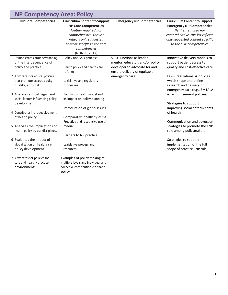| <b>NP Competency Area: Policy</b>                                                       |                                                                                                                                                                                                                     |                                                                                                                               |                                                                                                                                                                                                     |
|-----------------------------------------------------------------------------------------|---------------------------------------------------------------------------------------------------------------------------------------------------------------------------------------------------------------------|-------------------------------------------------------------------------------------------------------------------------------|-----------------------------------------------------------------------------------------------------------------------------------------------------------------------------------------------------|
| <b>NP Core Competencies</b>                                                             | <b>Curriculum Content to Support</b><br><b>NP Core Competencies</b><br>Neither required nor<br>comprehensive, this list<br>reflects only suggested<br>content specific to the core<br>competencies<br>(NONPF, 2017) | <b>Emergency NP Competencies</b>                                                                                              | <b>Curriculum Content to Support</b><br><b>Emergency NP Competencies</b><br>Neither required nor<br>comprehensive, this list reflects<br>only suggested content specific<br>to the ENP competencies |
| 1. Demonstrates an understanding<br>of the interdependence of<br>policy and practice.   | Policy analysis process<br>Health policy and health care<br>reform                                                                                                                                                  | 5.10 Functions as leader,<br>mentor, educator, and/or policy<br>developer to advocate for and<br>ensure delivery of equitable | Innovative delivery models to<br>support patient access to<br>quality and cost-effective care                                                                                                       |
| 2. Advocates for ethical policies<br>that promote access, equity,<br>quality, and cost. | Legislative and regulatory<br>processes                                                                                                                                                                             | emergency care                                                                                                                | Laws, regulations, & policies<br>which shape and define<br>research and delivery of<br>emergency care (e.g., EMTALA                                                                                 |
| 3. Analyzes ethical, legal, and<br>social factors influencing policy<br>development.    | Population health model and<br>its impact on policy planning                                                                                                                                                        |                                                                                                                               | & reimbursement policies)<br>Strategies to support                                                                                                                                                  |
| 4. Contributes in the development<br>of health policy.                                  | Introduction of global issues<br>Comparative health systems<br>Proactive and responsive use of                                                                                                                      |                                                                                                                               | improving social determinants<br>of health<br>Communication and advocacy                                                                                                                            |
| 5. Analyzes the implications of<br>health policy across disciplines.                    | media<br>Barriers to NP practice                                                                                                                                                                                    |                                                                                                                               | strategies to promote the ENP<br>role among policymakers                                                                                                                                            |
| 6. Evaluates the impact of<br>globalization on health care<br>policy development.       | Legislative process and<br>resources                                                                                                                                                                                |                                                                                                                               | Strategies to support<br>implementation of the full<br>scope of practice ENP role                                                                                                                   |
| 7. Advocates for policies for<br>safe and healthy practice<br>environments.             | Examples of policy making at<br>multiple levels and individual and<br>collective contributions to shape<br>policy                                                                                                   |                                                                                                                               |                                                                                                                                                                                                     |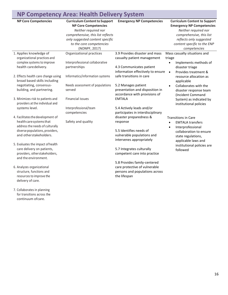### **NP Competency Area: Health Delivery System**

| <b>NP Core Competencies</b>                                                                                                                                   | <b>Curriculum Content to Support</b><br><b>NP Core Competencies</b><br>Neither required nor<br>comprehensive, this list reflects<br>only suggested content specific<br>to the core competencies<br>(NONPF, 2017) | <b>Emergency NP Competencies</b>                                                                                               | <b>Curriculum Content to Support</b><br><b>Emergency NP Competencies</b><br>Neither required nor<br>comprehensive, this list<br>reflects only suggested<br>content specific to the ENP<br>competencies |
|---------------------------------------------------------------------------------------------------------------------------------------------------------------|------------------------------------------------------------------------------------------------------------------------------------------------------------------------------------------------------------------|--------------------------------------------------------------------------------------------------------------------------------|--------------------------------------------------------------------------------------------------------------------------------------------------------------------------------------------------------|
| 1. Applies knowledge of<br>organizational practices and<br>complex systems to improve<br>health care delivery.                                                | Organizational practices<br>Interprofessional collaborative<br>partnerships                                                                                                                                      | 3.9 Provides disaster and mass<br>casualty patient management<br>4.3 Communicates patient<br>information effectively to ensure | Mass casualty situations and<br>triage<br>Implements methods of<br>disaster triage<br>Provides treatment &<br>$\bullet$                                                                                |
| 2. Effects health care change using<br>broad based skills including<br>negotiating, consensus-<br>building, and partnering.                                   | Informatics/information systems<br>Needs assessment of populations<br>served                                                                                                                                     | safe transitions in care<br>5.2 Manages patient<br>presentation and disposition in<br>accordance with provisions of            | resource allocation as<br>applicable<br>Collaborates with the<br>$\bullet$<br>disaster response team<br>(Incident Command                                                                              |
| 3. Minimizes risk to patients and<br>providers at the individual and<br>systems level.                                                                        | <b>Financial issues</b><br>Interprofessional/team<br>competencies                                                                                                                                                | <b>EMTALA</b><br>5.4 Actively leads and/or<br>participates in interdisciplinary                                                | System) as indicated by<br>institutional policies                                                                                                                                                      |
| 4. Facilitates the development of<br>health care systems that<br>address the needs of culturally<br>diverse populations, providers,<br>and otherstakeholders. | Safety and quality                                                                                                                                                                                               | disaster preparedness &<br>response<br>5.5 Identifies needs of<br>vulnerable populations and<br>intervenes appropriately       | <b>Transitions in Care</b><br><b>EMTALA transfers</b><br>$\bullet$<br>Interprofessional<br>$\bullet$<br>collaboration to ensure<br>state regulations,<br>applicable laws and                           |
| 5. Evaluates the impact of health<br>care delivery on patients,<br>providers, otherstakeholders,<br>and the environment.                                      |                                                                                                                                                                                                                  | 5.7 Integrates culturally<br>competent care into practice                                                                      | institutional policies are<br>followed                                                                                                                                                                 |
| 6. Analyzes organizational<br>structure, functions and<br>resources to improve the<br>delivery of care.                                                       |                                                                                                                                                                                                                  | 5.8 Provides family-centered<br>care protective of vulnerable<br>persons and populations across<br>the lifespan                |                                                                                                                                                                                                        |

7. Collaborates in planning for transitions across the continuum ofcare.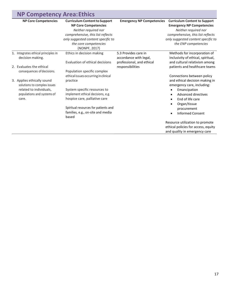|  | <b>NP Competency Area: Ethics</b>                              |                                                                                                                                                                                                                  |                                                                             |                                                                                                                                                                                                     |
|--|----------------------------------------------------------------|------------------------------------------------------------------------------------------------------------------------------------------------------------------------------------------------------------------|-----------------------------------------------------------------------------|-----------------------------------------------------------------------------------------------------------------------------------------------------------------------------------------------------|
|  | <b>NP Core Competencies</b>                                    | <b>Curriculum Content to Support</b><br><b>NP Core Competencies</b><br>Neither required nor<br>comprehensive, this list reflects<br>only suggested content specific to<br>the core competencies<br>(NONPF, 2017) | <b>Emergency NP Competencies</b>                                            | <b>Curriculum Content to Support</b><br><b>Emergency NP Competencies</b><br>Neither required nor<br>comprehensive, this list reflects<br>only suggested content specific to<br>the ENP competencies |
|  | 1. Integrates ethical principles in<br>decision making.        | Ethics in decision making<br>Evaluation of ethical decisions                                                                                                                                                     | 5.3 Provides care in<br>accordance with legal,<br>professional, and ethical | Methods for incorporation of<br>inclusivity of ethical, spiritual,<br>and cultural relativism among                                                                                                 |
|  | 2. Evaluates the ethical<br>consequences of decisions.         | Population specific complex<br>ethical issues occurring in clinical                                                                                                                                              | responsibilities                                                            | patients and healthcare teams<br>Connections between policy                                                                                                                                         |
|  | 3. Applies ethically sound<br>solutions to complex issues      | practice                                                                                                                                                                                                         |                                                                             | and ethical decision making in<br>emergency care, including:                                                                                                                                        |
|  | related to individuals,<br>populations and systems of<br>care. | System specific resources to<br>implement ethical decisions, e.g.<br>hospice care, palliative care                                                                                                               |                                                                             | Emancipation<br>Advanced directives<br>End of life care<br>Organ/tissue                                                                                                                             |
|  |                                                                | Spiritual resources for patients and<br>families, e.g., on-site and media<br>based                                                                                                                               |                                                                             | procurement<br><b>Informed Consent</b>                                                                                                                                                              |
|  |                                                                |                                                                                                                                                                                                                  |                                                                             | Resource utilization to promote<br>ethical policies for access, equity<br>and quality in emergency care                                                                                             |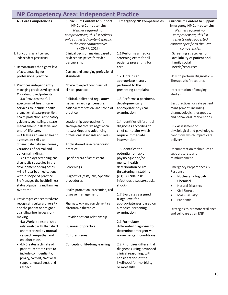### **NP Competency Area: Independent Practice**

|                                                                                                                                                                                                                                                                                                                                                                                                                                                                                                                                                                                                                                                                                         | <u>NP Competency Area: independent Practice</u>                                                                                                                                                                                                                                                                                                                                                                                                                                          |                                                                                                                                                                                                                                                                                                                                                                                                                                                                        |                                                                                                                                                                                                                                                                                                                                                                                                                                                                                                                   |
|-----------------------------------------------------------------------------------------------------------------------------------------------------------------------------------------------------------------------------------------------------------------------------------------------------------------------------------------------------------------------------------------------------------------------------------------------------------------------------------------------------------------------------------------------------------------------------------------------------------------------------------------------------------------------------------------|------------------------------------------------------------------------------------------------------------------------------------------------------------------------------------------------------------------------------------------------------------------------------------------------------------------------------------------------------------------------------------------------------------------------------------------------------------------------------------------|------------------------------------------------------------------------------------------------------------------------------------------------------------------------------------------------------------------------------------------------------------------------------------------------------------------------------------------------------------------------------------------------------------------------------------------------------------------------|-------------------------------------------------------------------------------------------------------------------------------------------------------------------------------------------------------------------------------------------------------------------------------------------------------------------------------------------------------------------------------------------------------------------------------------------------------------------------------------------------------------------|
| <b>NP Core Competencies</b>                                                                                                                                                                                                                                                                                                                                                                                                                                                                                                                                                                                                                                                             | <b>Curriculum Content to Support</b><br><b>NP Core Competencies</b><br>Neither required nor<br>comprehensive, this list reflects<br>only suggested content specific<br>to the core competencies<br>(NONPF, 2017)                                                                                                                                                                                                                                                                         | <b>Emergency NP Competencies</b>                                                                                                                                                                                                                                                                                                                                                                                                                                       | <b>Curriculum Content to Support</b><br><b>Emergency NP Competencies</b><br>Neither required nor<br>comprehensive, this list<br>reflects only suggested<br>content specific to the ENP<br>competencies                                                                                                                                                                                                                                                                                                            |
| 1. Functions as a licensed<br>independent practitioner.<br>2. Demonstrates the highest level<br>of accountability for<br>professional practice.<br>3. Practices independently                                                                                                                                                                                                                                                                                                                                                                                                                                                                                                           | Clinical decision making based on<br>evidence and patient/provider<br>partnership<br>Current and emerging professional<br>standards<br>Novice to expert continuum of                                                                                                                                                                                                                                                                                                                     | 1.1 Performs a medical<br>screening exam for all<br>patients presenting for<br>care<br>1.2 Obtains an<br>appropriate history<br>pertinent to the                                                                                                                                                                                                                                                                                                                       | Screening strategies for<br>availability of patient and<br>family social<br>needs/resources<br>Skills to perform Diagnostic &<br><b>Therapeutic Procedures</b>                                                                                                                                                                                                                                                                                                                                                    |
| managing previously diagnosed<br>& undiagnosed patients.<br>-3.a Provides the full<br>spectrum of health care<br>services to include health<br>promotion, disease prevention,<br>health protection, anticipatory<br>guidance, counseling, disease<br>management, palliative, and<br>end-of-life care.<br>-3.b Uses advanced health<br>assessment skills to<br>differentiate between normal,<br>variations of normal and<br>abnormal findings.<br>-3.c Employs screening and<br>diagnostic strategies in the<br>development of diagnoses.<br>-3.d Prescribes medications<br>within scope of practice.<br>3.e Manages the health/illness<br>status of patients and families<br>over time. | clinical practice<br>Political, policy and regulatory<br>issues regarding licensure,<br>national certification, and scope of<br>practice<br>Leadership approaches for<br>employment contract negotiation,<br>networking, and advancing<br>professional standards and roles<br>Application of select sciences to<br>practice<br>Specific areas of assessment<br>Screenings<br>Diagnostics (tests, labs) Specific<br>procedures<br>Health promotion, prevention, and<br>disease management | presenting complaint<br>1.3 Performs a pertinent,<br>developmentally<br>appropriate physical<br>examination<br>1.4 Identifies differential<br>diagnoses according to<br>chief complaint which<br>require immediate<br>intervention<br>1.5 Identifies the<br>potential for rapid<br>physiologic and/or<br>mental health<br>deterioration or life-<br>threatening instability<br>(e.g., suicidal risk,<br>infectious disease/sepsis,<br>shock)<br>1.7 Evaluates assigned | Interpretation of imaging<br>studies<br>Best practices for safe patient<br>management, including<br>pharmacologic, therapeutic,<br>and behavioral interventions<br>Risk Assessment of<br>physiological and psychological<br>conditions which impact care<br>delivery<br>Documentation techniques to<br>support safety and<br>reimbursement<br><b>Emergency Preparedness &amp;</b><br>Response<br>Nuclear/Biological/<br>Chemical<br><b>Natural Disasters</b><br>$\bullet$<br>Civil Unrest<br><b>Mass Casualty</b> |
| 4. Provides patient-centered care<br>recognizing cultural diversity<br>and the patient or designee<br>as a full partner in decision-<br>making.<br>- 4.a Works to establish a<br>relationship with the patient<br>characterized by mutual<br>respect, empathy, and<br>collaboration.<br>4.b Creates a climate of<br>patient-centered care to<br>include confidentiality,<br>privacy, comfort, emotional<br>support, mutual trust, and<br>respect.                                                                                                                                                                                                                                       | Pharmacology and complementary<br>alternative therapies<br>Provider-patient relationship<br><b>Business of practice</b><br>Cultural issues<br>Concepts of life-long learning                                                                                                                                                                                                                                                                                                             | triage level for<br>appropriateness based on<br>a medical screening<br>examination<br>2.1 Formulates<br>differential diagnoses to<br>determine emergent vs.<br>non-emergent conditions<br>2.2 Prioritizes differential<br>diagnoses using advanced<br>clinical reasoning, with<br>consideration of the<br>likelihood for morbidity<br>or mortality                                                                                                                     | Pandemic<br>Strategies to promote resilience<br>and self-care as an ENP                                                                                                                                                                                                                                                                                                                                                                                                                                           |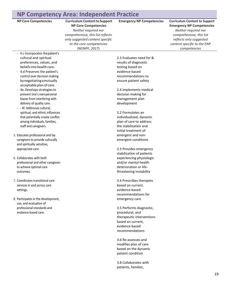### **NP Competency Area: Independent Practice**

**NP Core Competencies Curriculum Contentto Support NP Core Competencies** *Neither required nor comprehensive, this list reflects only suggested content specific to the core competencies* (NONPF, 2017)

### **Emergency NP Competencies Curriculum Content to Support**

**Emergency NP Competencies** *Neither required nor comprehensive, this list reflects only suggested content specific to the ENP competencies*

- 4.c Incorporates the patient's cultural and spiritual preferences, values, and beliefsinto health care.
- 4.d Preserves the patient's control over decision making bynegotiatingamutually acceptable plan of care.
- 4e. Develops strategies to prevent one's ownpersonal biases from interfering with delivery of quality care.
- - 4f. Addresses cultural, spiritual, and ethnic influences that potentially create conflict among individuals, families, staff and caregivers.
- 5. Educates professional and lay caregivers to provide culturally and spiritually sensitive, appropriate care.
- 6. Collaborates with both professional and other caregivers to achieve optimal care outcomes.
- 7. Coordinates transitional care services in and across care settings.
- 8. Participates in the development, use, and evaluation of professional standards and evidence-based care.

2.3 Evaluates need for & results of diagnostic testing based on evidence-based recommendations to ensure patient safety

2.4 Implements medical decision making for management plan development

3.2 Formulates an individualized, dynamic plan of care to address the stabilization and initial treatment of emergent and nonemergent conditions

3.3 Provides emergency stabilization of patients experiencing physiologic and/or mental health deterioration or lifethreatening instability

3.4 Prescribes therapies based on current, evidence-based recommendations for emergency care

3.5 Performs diagnostic, procedural, and therapeutic interventions based on current, evidence-based recommendations

3.6 Re-assesses and modifies plan of care based on the dynamic patient condition

3.8 Collaborates with patients, families,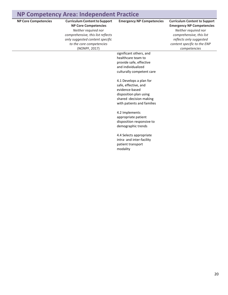### **NP Competency Area: Independent Practice**

| NP Competency Area: Independent Practice |                                                                                                                                                                                                                  |                                                                                                                                                      |                                                                                                                                                                                                        |
|------------------------------------------|------------------------------------------------------------------------------------------------------------------------------------------------------------------------------------------------------------------|------------------------------------------------------------------------------------------------------------------------------------------------------|--------------------------------------------------------------------------------------------------------------------------------------------------------------------------------------------------------|
| <b>NP Core Competencies</b>              | <b>Curriculum Content to Support</b><br><b>NP Core Competencies</b><br>Neither required nor<br>comprehensive, this list reflects<br>only suggested content specific<br>to the core competencies<br>(NONPF, 2017) | <b>Emergency NP Competencies</b>                                                                                                                     | <b>Curriculum Content to Support</b><br><b>Emergency NP Competencies</b><br>Neither required nor<br>comprehensive, this list<br>reflects only suggested<br>content specific to the ENP<br>competencies |
|                                          |                                                                                                                                                                                                                  | significant others, and<br>healthcare team to<br>provide safe, effective<br>and individualized<br>culturally competent care                          |                                                                                                                                                                                                        |
|                                          |                                                                                                                                                                                                                  | 4.1 Develops a plan for<br>safe, effective, and<br>evidence-based<br>disposition plan using<br>shared -decision making<br>with patients and families |                                                                                                                                                                                                        |
|                                          |                                                                                                                                                                                                                  | 4.2 Implements<br>appropriate patient<br>disposition responsive to<br>demographic trends                                                             |                                                                                                                                                                                                        |
|                                          |                                                                                                                                                                                                                  | 4.4 Selects appropriate<br>intra- and inter-facility<br>patient transport<br>modality                                                                |                                                                                                                                                                                                        |